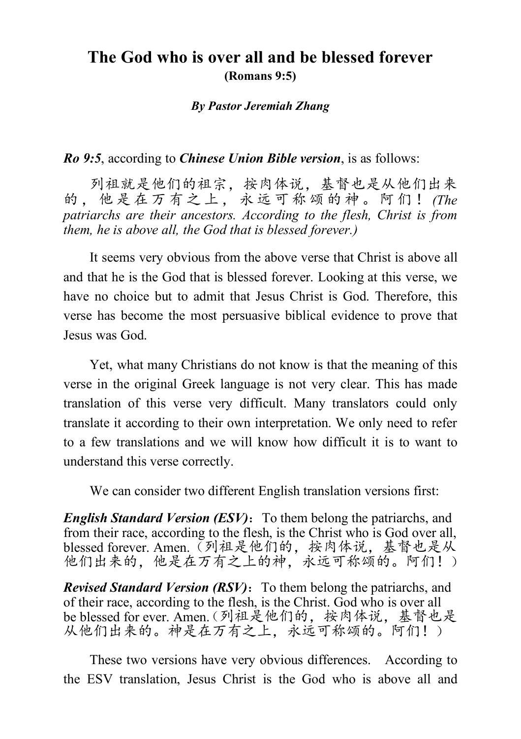## **The God who is over all and be blessed forever (Romans 9:5)**

#### *By Pastor Jeremiah Zhang*

#### *Ro 9:5*, according to *Chinese Union Bible version*, is as follows:

列祖就是他们的祖宗,按肉体说,基督也是从他们出来 的,他是在万有之上,永远可称颂的神。阿们! *(The patriarchs are their ancestors. According to the flesh, Christ is from them, he is above all, the God that is blessed forever.)*

It seems very obvious from the above verse that Christ is above all and that he is the God that is blessed forever. Looking at this verse, we have no choice but to admit that Jesus Christ is God. Therefore, this verse has become the most persuasive biblical evidence to prove that Jesus was God.

Yet, what many Christians do not know is that the meaning of this verse in the original Greek language is not very clear. This has made translation of this verse very difficult. Many translators could only translate it according to their own interpretation. We only need to refer to a few translations and we will know how difficult it is to want to understand this verse correctly.

We can consider two different English translation versions first:

*English Standard Version (ESV)*: To them belong the patriarchs, and from their race, according to the flesh, is the Christ who is God over all, blessed forever. Amen.(列祖是他们的,按肉体说,基督也是从 他们出来的,他是在万有之上的神,永远可称颂的。阿们!)

*Revised Standard Version (RSV)*: To them belong the patriarchs, and of their race, according to the flesh, is the Christ. God who is over all be blessed for ever. Amen.(列祖是他们的,按肉体说,基督也是 从他们出来的。神是在万有之上,永远可称颂的。阿们!)

These two versions have very obvious differences. According to the ESV translation, Jesus Christ is the God who is above all and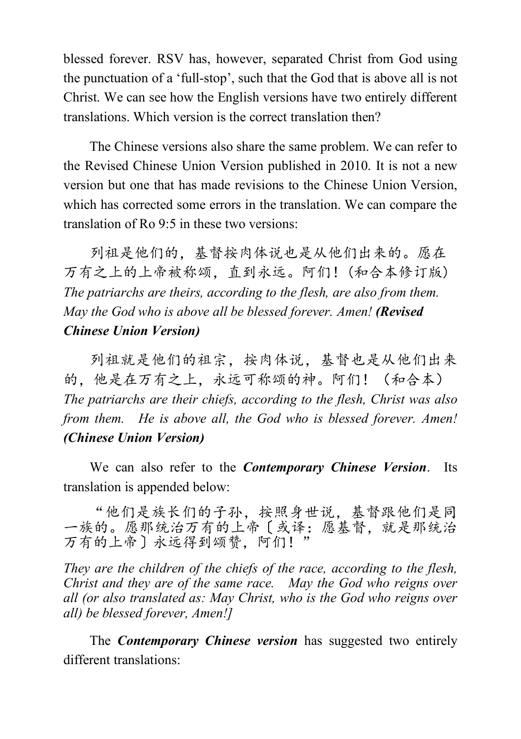blessed forever. RSV has, however, separated Christ from God using the punctuation of a 'full-stop', such that the God that is above all is not Christ. We can see how the English versions have two entirely different translations. Which version is the correct translation then?

The Chinese versions also share the same problem. We can refer to the Revised Chinese Union Version published in 2010. It is not a new version but one that has made revisions to the Chinese Union Version, which has corrected some errors in the translation. We can compare the translation of Ro 9:5 in these two versions:

列祖是他们的,基督按肉体说也是从他们出来的。愿在 万有之上的上帝被称颂,直到永远。阿们!(和合本修订版) *The patriarchs are theirs, according to the flesh, are also from them. May the God who is above all be blessed forever. Amen! (Revised Chinese Union Version)*

列祖就是他们的祖宗,按肉体说,基督也是从他们出来 的,他是在万有之上,永远可称颂的神。阿们!(和合本) *The patriarchs are their chiefs, according to the flesh, Christ was also from them. He is above all, the God who is blessed forever. Amen! (Chinese Union Version)*

We can also refer to the *Contemporary Chinese Version*. Its translation is appended below:

"他们是族长们的子孙,按照身世说,基督跟他们是同 一族的。愿那统治万有的上帝〔或译:愿基督,就是那统治 万有的上帝〕永远得到颂赞,阿们!"

*They are the children of the chiefs of the race, according to the flesh, Christ and they are of the same race. May the God who reigns over all (or also translated as: May Christ, who is the God who reigns over all) be blessed forever, Amen!]*

The *Contemporary Chinese version* has suggested two entirely different translations: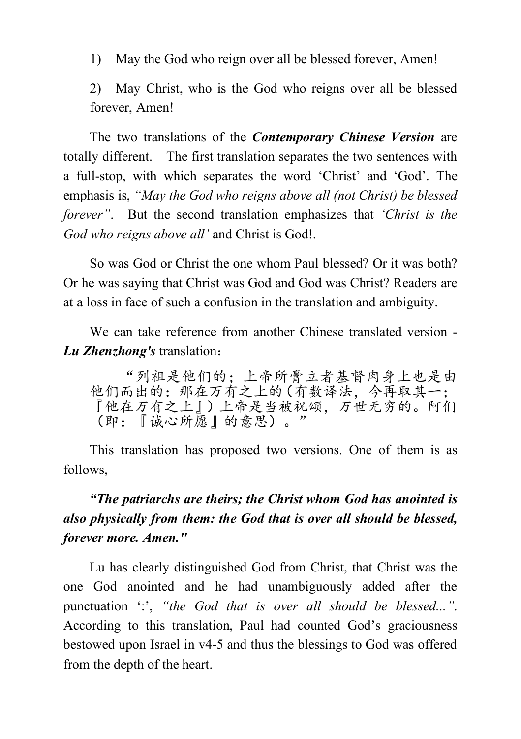1) May the God who reign over all be blessed forever, Amen!

2) May Christ, who is the God who reigns over all be blessed forever, Amen!

The two translations of the *Contemporary Chinese Version* are totally different. The first translation separates the two sentences with a full-stop, with which separates the word 'Christ' and 'God'. The emphasis is, *"May the God who reigns above all (not Christ) be blessed forever"*. But the second translation emphasizes that *'Christ is the God who reigns above all'* and Christ is God!.

So was God or Christ the one whom Paul blessed? Or it was both? Or he was saying that Christ was God and God was Christ? Readers are at a loss in face of such a confusion in the translation and ambiguity.

We can take reference from another Chinese translated version - *Lu Zhenzhong's* translation:

"列祖是他们的;上帝所膏立者基督肉身上也是由 他们而出的:那在万有之上的(有数译法,今再取其一; 『他在万有之上』)上帝是当被祝颂,万世无穷的。阿们 (即:『诚心所愿』的意思)。"

This translation has proposed two versions. One of them is as follows,

# *"The patriarchs are theirs; the Christ whom God has anointed is also physically from them: the God that is over all should be blessed, forever more. Amen."*

Lu has clearly distinguished God from Christ, that Christ was the one God anointed and he had unambiguously added after the punctuation ':', *"the God that is over all should be blessed..."*. According to this translation, Paul had counted God's graciousness bestowed upon Israel in v4-5 and thus the blessings to God was offered from the depth of the heart.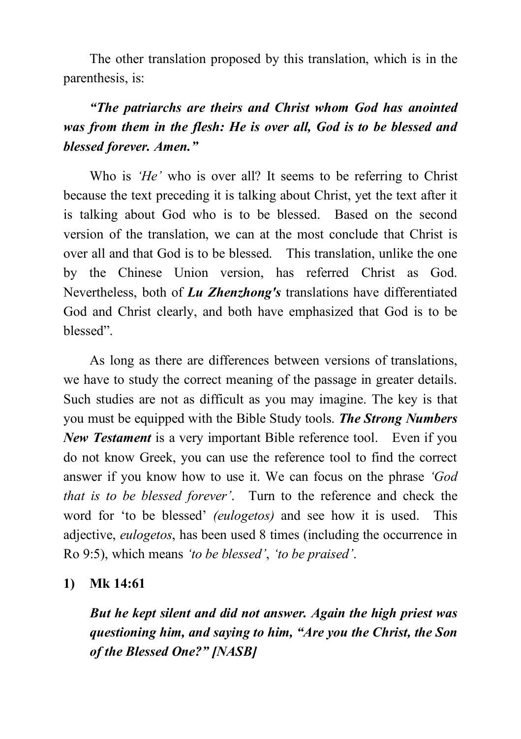The other translation proposed by this translation, which is in the parenthesis, is:

# *"The patriarchs are theirs and Christ whom God has anointed was from them in the flesh: He is over all, God is to be blessed and blessed forever. Amen."*

Who is *'He'* who is over all? It seems to be referring to Christ because the text preceding it is talking about Christ, yet the text after it is talking about God who is to be blessed. Based on the second version of the translation, we can at the most conclude that Christ is over all and that God is to be blessed. This translation, unlike the one by the Chinese Union version, has referred Christ as God. Nevertheless, both of *Lu Zhenzhong's* translations have differentiated God and Christ clearly, and both have emphasized that God is to be blessed".

As long as there are differences between versions of translations, we have to study the correct meaning of the passage in greater details. Such studies are not as difficult as you may imagine. The key is that you must be equipped with the Bible Study tools. *The Strong Numbers New Testament* is a very important Bible reference tool. Even if you do not know Greek, you can use the reference tool to find the correct answer if you know how to use it. We can focus on the phrase *'God that is to be blessed forever'*. Turn to the reference and check the word for 'to be blessed' *(eulogetos)* and see how it is used. This adjective, *eulogetos*, has been used 8 times (including the occurrence in Ro 9:5), which means *'to be blessed'*, *'to be praised'*.

### **1) Mk 14:61**

*But he kept silent and did not answer. Again the high priest was questioning him, and saying to him, "Are you the Christ, the Son of the Blessed One?" [NASB]*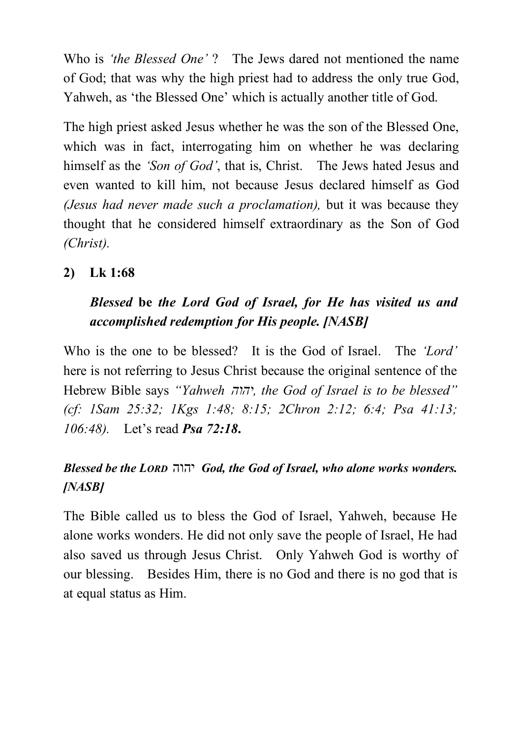Who is *'the Blessed One'* ? The Jews dared not mentioned the name of God; that was why the high priest had to address the only true God, Yahweh, as 'the Blessed One' which is actually another title of God.

The high priest asked Jesus whether he was the son of the Blessed One, which was in fact, interrogating him on whether he was declaring himself as the *'Son of God'*, that is, Christ. The Jews hated Jesus and even wanted to kill him, not because Jesus declared himself as God *(Jesus had never made such a proclamation),* but it was because they thought that he considered himself extraordinary as the Son of God *(Christ).*

### **2) Lk 1:68**

# *Blessed* **be** *the Lord God of Israel, for He has visited us and accomplished redemption for His people. [NASB]*

Who is the one to be blessed? It is the God of Israel. The *'Lord'* here is not referring to Jesus Christ because the original sentence of the Hebrew Bible says *"Yahweh הוהי , the God of Israel is to be blessed" (cf: 1Sam 25:32; 1Kgs 1:48; 8:15; 2Chron 2:12; 6:4; Psa 41:13; 106:48).* Let's read *Psa 72:18***.**

## *Blessed be the LORD* הוהי *God, the God of Israel, who alone works wonders. [NASB]*

The Bible called us to bless the God of Israel, Yahweh, because He alone works wonders. He did not only save the people of Israel, He had also saved us through Jesus Christ. Only Yahweh God is worthy of our blessing. Besides Him, there is no God and there is no god that is at equal status as Him.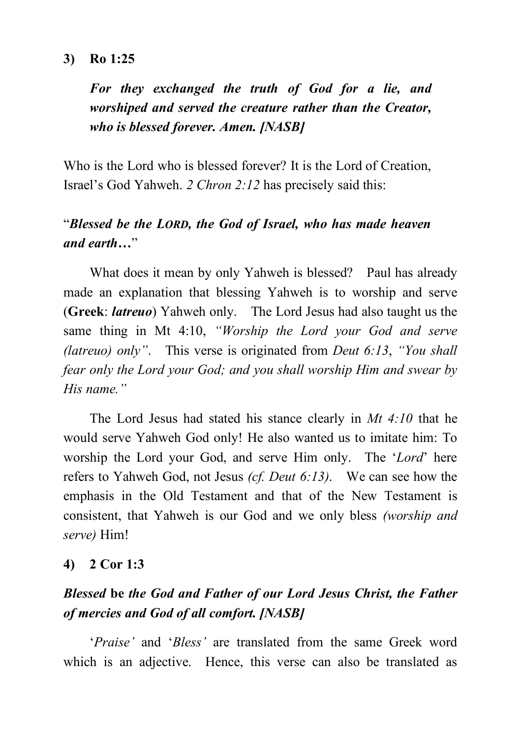#### **3) Ro 1:25**

*For they exchanged the truth of God for a lie, and worshiped and served the creature rather than the Creator, who is blessed forever. Amen. [NASB]*

Who is the Lord who is blessed forever? It is the Lord of Creation, Israel's God Yahweh. *2 Chron 2:12* has precisely said this:

## "*Blessed be the LORD, the God of Israel, who has made heaven and earth…*"

What does it mean by only Yahweh is blessed? Paul has already made an explanation that blessing Yahweh is to worship and serve (**Greek**: *latreuo*) Yahweh only. The Lord Jesus had also taught us the same thing in Mt 4:10, *"Worship the Lord your God and serve (latreuo) only"*. This verse is originated from *Deut 6:13*, *"You shall fear only the Lord your God; and you shall worship Him and swear by His name."*

The Lord Jesus had stated his stance clearly in *Mt 4:10* that he would serve Yahweh God only! He also wanted us to imitate him: To worship the Lord your God, and serve Him only. The '*Lord*' here refers to Yahweh God, not Jesus *(cf. Deut 6:13)*. We can see how the emphasis in the Old Testament and that of the New Testament is consistent, that Yahweh is our God and we only bless *(worship and serve)* Him!

#### **4) 2 Cor 1:3**

## *Blessed* **be** *the God and Father of our Lord Jesus Christ, the Father of mercies and God of all comfort. [NASB]*

'*Praise'* and '*Bless'* are translated from the same Greek word which is an adjective. Hence, this verse can also be translated as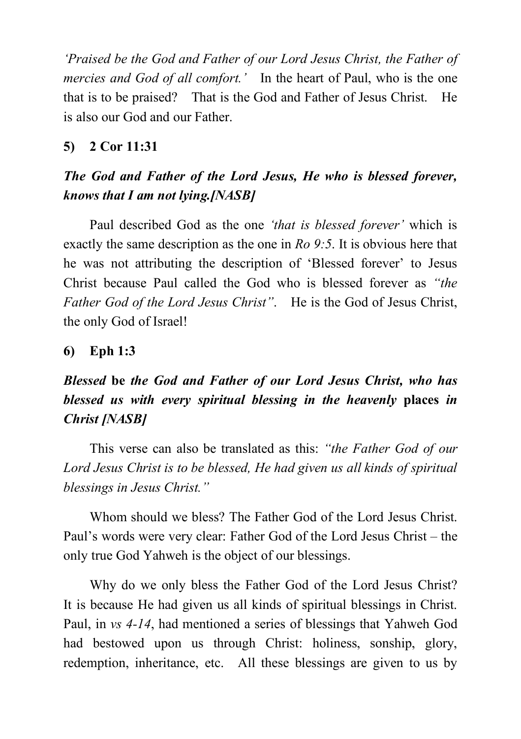*'Praised be the God and Father of our Lord Jesus Christ, the Father of mercies and God of all comfort.'* In the heart of Paul, who is the one that is to be praised? That is the God and Father of Jesus Christ. He is also our God and our Father.

### **5) 2 Cor 11:31**

## *The God and Father of the Lord Jesus, He who is blessed forever, knows that I am not lying.[NASB]*

Paul described God as the one *'that is blessed forever'* which is exactly the same description as the one in *Ro 9:5*. It is obvious here that he was not attributing the description of 'Blessed forever' to Jesus Christ because Paul called the God who is blessed forever as *"the Father God of the Lord Jesus Christ"*. He is the God of Jesus Christ, the only God of Israel!

### **6) Eph 1:3**

# *Blessed* **be** *the God and Father of our Lord Jesus Christ, who has blessed us with every spiritual blessing in the heavenly* **places** *in Christ [NASB]*

This verse can also be translated as this: *"the Father God of our Lord Jesus Christ is to be blessed, He had given us all kinds of spiritual blessings in Jesus Christ."*

Whom should we bless? The Father God of the Lord Jesus Christ. Paul's words were very clear: Father God of the Lord Jesus Christ – the only true God Yahweh is the object of our blessings.

Why do we only bless the Father God of the Lord Jesus Christ? It is because He had given us all kinds of spiritual blessings in Christ. Paul, in *vs 4-14*, had mentioned a series of blessings that Yahweh God had bestowed upon us through Christ: holiness, sonship, glory, redemption, inheritance, etc. All these blessings are given to us by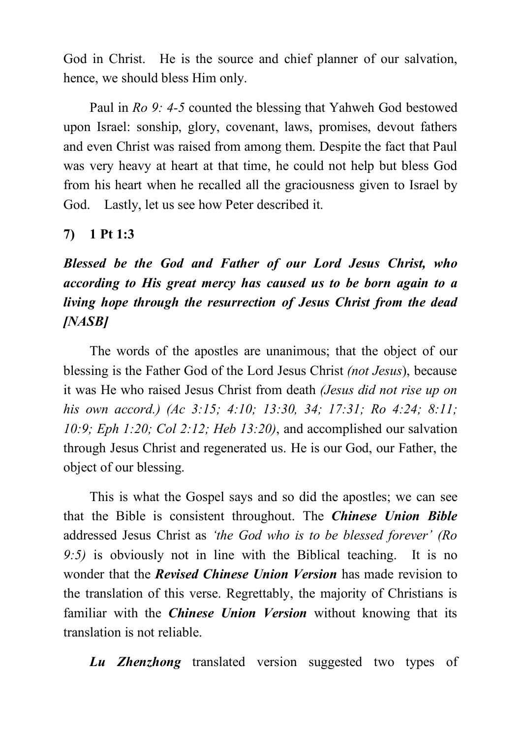God in Christ. He is the source and chief planner of our salvation, hence, we should bless Him only.

Paul in *Ro 9: 4-5* counted the blessing that Yahweh God bestowed upon Israel: sonship, glory, covenant, laws, promises, devout fathers and even Christ was raised from among them. Despite the fact that Paul was very heavy at heart at that time, he could not help but bless God from his heart when he recalled all the graciousness given to Israel by God. Lastly, let us see how Peter described it.

### **7) 1 Pt 1:3**

*Blessed be the God and Father of our Lord Jesus Christ, who according to His great mercy has caused us to be born again to a living hope through the resurrection of Jesus Christ from the dead [NASB]*

The words of the apostles are unanimous; that the object of our blessing is the Father God of the Lord Jesus Christ *(not Jesus*), because it was He who raised Jesus Christ from death *(Jesus did not rise up on his own accord.) (Ac 3:15; 4:10; 13:30, 34; 17:31; Ro 4:24; 8:11; 10:9; Eph 1:20; Col 2:12; Heb 13:20)*, and accomplished our salvation through Jesus Christ and regenerated us. He is our God, our Father, the object of our blessing.

This is what the Gospel says and so did the apostles; we can see that the Bible is consistent throughout. The *Chinese Union Bible* addressed Jesus Christ as *'the God who is to be blessed forever' (Ro 9:5)* is obviously not in line with the Biblical teaching. It is no wonder that the *Revised Chinese Union Version* has made revision to the translation of this verse. Regrettably, the majority of Christians is familiar with the *Chinese Union Version* without knowing that its translation is not reliable.

*Lu Zhenzhong* translated version suggested two types of